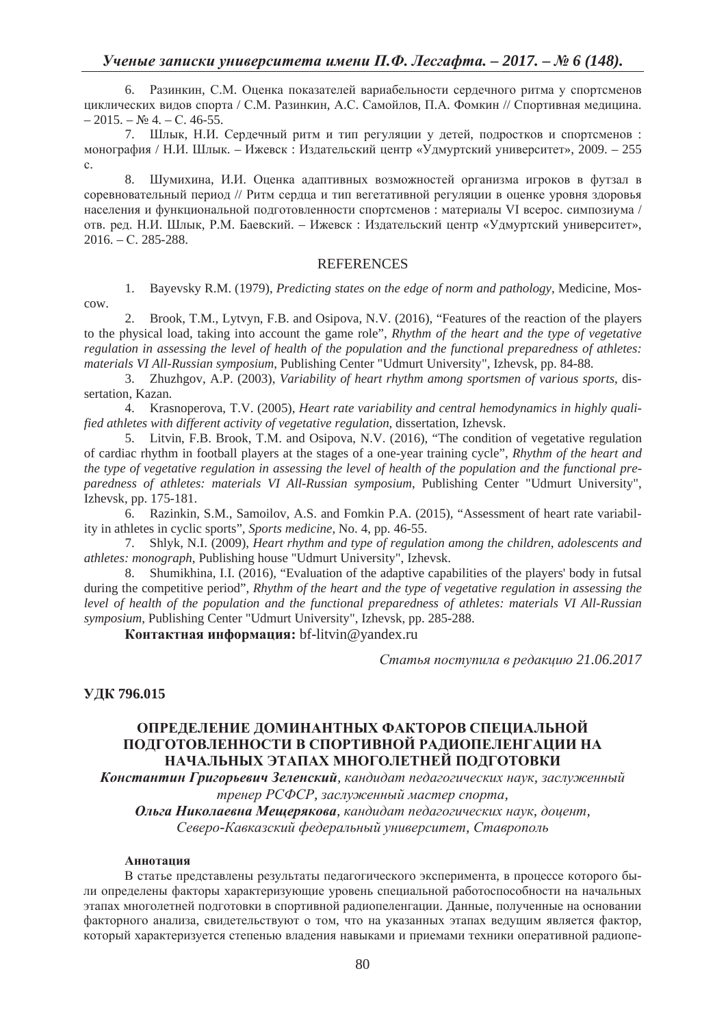6. Разинкин, С.М. Оценка показателей вариабельности сердечного ритма у спортсменов циклических видов спорта / С.М. Разинкин, А.С. Самойлов, П.А. Фомкин // Спортивная медицина.  $-2015. - N_2$  4. – C. 46-55.

7. Шлык, Н.И. Сердечный ритм и тип регуляции у детей, подростков и спортсменов: монография / Н.И. Шлык. – Ижевск : Издательский центр «Удмуртский университет», 2009. – 255 ɫ.

8. Шумихина, И.И. Оценка адаптивных возможностей организма игроков в футзал в соревновательный период // Ритм сердца и тип вегетативной регуляции в оценке уровня здоровья населения и функциональной подготовленности спортсменов: материалы VI всерос. симпозиума / отв. ред. Н.И. Шлык, Р.М. Баевский. – Ижевск : Издательский центр «Удмуртский университет»,  $2016. - C. 285 - 288.$ 

## **REFERENCES**

1. Bayevsky R.M. (1979), *Predicting states on the edge of norm and pathology*, Medicine, Moscow.

2. Brook, T.M., Lytvyn, F.B. and Osipova, N.V. (2016), "Features of the reaction of the players to the physical load, taking into account the game role", *Rhythm of the heart and the type of vegetative regulation in assessing the level of health of the population and the functional preparedness of athletes: materials VI All-Russian symposium*, Publishing Center "Udmurt University", Izhevsk, pp. 84-88.

3. Zhuzhgov, A.P. (2003), *Variability of heart rhythm among sportsmen of various sports*, dissertation, Kazan.

4. Krasnoperova, Ɍ.V. (2005), *Heart rate variability and central hemodynamics in highly qualified athletes with different activity of vegetative regulation*, dissertation, Izhevsk.

5. Litvin, F.B. Brook, T.M. and Osipova, N.V. (2016), "The condition of vegetative regulation of cardiac rhythm in football players at the stages of a one-year training cycle", *Rhythm of the heart and the type of vegetative regulation in assessing the level of health of the population and the functional preparedness of athletes: materials VI All-Russian symposium*, Publishing Center "Udmurt University", Izhevsk, pp. 175-181.

6. Razinkin, S.M., Samoilov, A.S. and Fomkin P.A. (2015), "Assessment of heart rate variability in athletes in cyclic sports", *Sports medicine*, No. 4, pp. 46-55.

7. Shlyk, N.I. (2009), *Heart rhythm and type of regulation among the children, adolescents and athletes: monograph*, Publishing house "Udmurt University", Izhevsk.

8. Shumikhina, I.I. (2016), "Evaluation of the adaptive capabilities of the players' body in futsal during the competitive period", *Rhythm of the heart and the type of vegetative regulation in assessing the level of health of the population and the functional preparedness of athletes: materials VI All-Russian symposium*, Publishing Center "Udmurt University", Izhevsk, pp. 285-288.

Контактная информация: bf-litvin@yandex.ru

*ɋɬɚɬɶɹ ɩɨɫɬɭɩɢɥɚ ɜ ɪɟɞɚɤɰɢɸ 21.06.2017* 

## **ɍȾɄ 796.015**

## **ɈɉɊȿȾȿɅȿɇɂȿ ȾɈɆɂɇȺɇɌɇɕɏ ɎȺɄɌɈɊɈȼ ɋɉȿɐɂȺɅɖɇɈɃ** ПОЛГОТОВЛЕННОСТИ В СПОРТИВНОЙ РАЛИОПЕЛЕНГАЦИИ НА НАЧАЛЬНЫХ ЭТАПАХ МНОГОЛЕТНЕЙ ПОДГОТОВКИ

**Константин Григорьевич Зеленский**, кандидат педагогических наук, заслуженный тренер РСФСР, заслуженный мастер спорта,

*Ɉɥɶɝɚ ɇɢɤɨɥɚɟɜɧɚ Ɇɟɳɟɪɹɤɨɜɚ, ɤɚɧɞɢɞɚɬ ɩɟɞɚɝɨɝɢɱɟɫɤɢɯ ɧɚɭɤ, ɞɨɰɟɧɬ, ɋɟɜɟɪɨ-Ʉɚɜɤɚɡɫɤɢɣ ɮɟɞɟɪɚɥɶɧɵɣ ɭɧɢɜɟɪɫɢɬɟɬ, ɋɬɚɜɪɨɩɨɥɶ*

#### **Аннотация**

В статье представлены результаты педагогического эксперимента, в процессе которого были определены факторы характеризующие уровень специальной работоспособности на начальных этапах многолетней подготовки в спортивной радиопеленгации. Данные, полученные на основании факторного анализа, свидетельствуют о том, что на указанных этапах ведущим является фактор, который характеризуется степенью владения навыками и приемами техники оперативной радиопе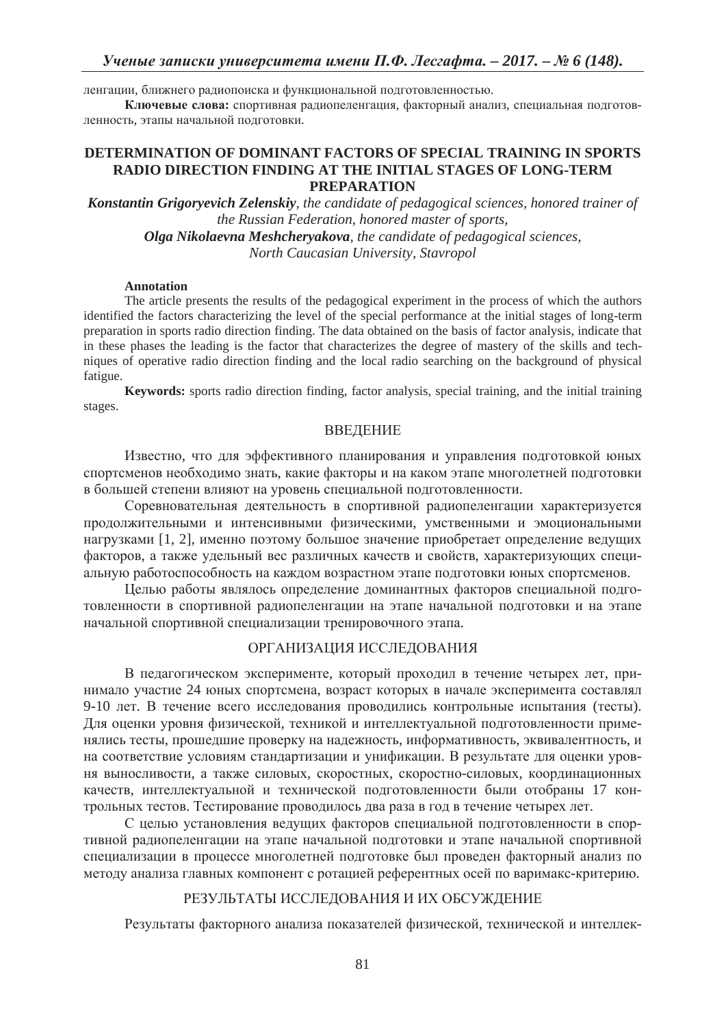ленгации, ближнего радиопоиска и функциональной подготовленностью.

Ключевые слова: спортивная радиопеленгация, факторный анализ, специальная подготовленность, этапы начальной полготовки.

## **DETERMINATION OF DOMINANT FACTORS OF SPECIAL TRAINING IN SPORTS RADIO DIRECTION FINDING AT THE INITIAL STAGES OF LONG-TERM PREPARATION**

*Konstantin Grigoryevich Zelenskiy, the candidate of pedagogical sciences, honored trainer of the Russian Federation, honored master of sports, Olga Nikolaevna Meshcheryakova, the candidate of pedagogical sciences,* 

*North Caucasian University, Stavropol* 

## **Annotation**

The article presents the results of the pedagogical experiment in the process of which the authors identified the factors characterizing the level of the special performance at the initial stages of long-term preparation in sports radio direction finding. The data obtained on the basis of factor analysis, indicate that in these phases the leading is the factor that characterizes the degree of mastery of the skills and techniques of operative radio direction finding and the local radio searching on the background of physical fatigue.

**Keywords:** sports radio direction finding, factor analysis, special training, and the initial training stages.

## ВВЕДЕНИЕ

Известно, что для эффективного планирования и управления подготовкой юных спортсменов необходимо знать, какие факторы и на каком этапе многолетней подготовки в большей степени влияют на уровень специальной подготовленности.

Соревновательная деятельность в спортивной радиопеленгации характеризуется продолжительными и интенсивными физическими, умственными и эмоциональными нагрузками [1, 2], именно поэтому большое значение приобретает определение ведущих факторов, а также удельный вес различных качеств и свойств, характеризующих специальную работоспособность на каждом возрастном этапе подготовки юных спортсменов.

Целью работы являлось определение доминантных факторов специальной подготовленности в спортивной радиопеленгации на этапе начальной подготовки и на этапе начальной спортивной специализации тренировочного этапа.

## ОРГАНИЗАЦИЯ ИССЛЕДОВАНИЯ

В педагогическом эксперименте, который проходил в течение четырех лет, принимало участие 24 юных спортсмена, возраст которых в начале эксперимента составлял 9-10 лет. В течение всего исследования проводились контрольные испытания (тесты). Для оценки уровня физической, техникой и интеллектуальной подготовленности применялись тесты, прошедшие проверку на надежность, информативность, эквивалентность, и на соответствие условиям стандартизации и унификации. В результате для оценки уровня выносливости, а также силовых, скоростных, скоростно-силовых, координационных качеств, интеллектуальной и технической подготовленности были отобраны 17 контрольных тестов. Тестирование проводилось два раза в год в течение четырех лет.

С целью установления ведущих факторов специальной подготовленности в спортивной радиопеленгации на этапе начальной подготовки и этапе начальной спортивной специализации в процессе многолетней подготовке был проведен факторный анализ по методу анализа главных компонент с ротацией референтных осей по варимакс-критерию.

## РЕЗУЛЬТАТЫ ИССЛЕДОВАНИЯ И ИХ ОБСУЖДЕНИЕ

Результаты факторного анализа показателей физической, технической и интеллек-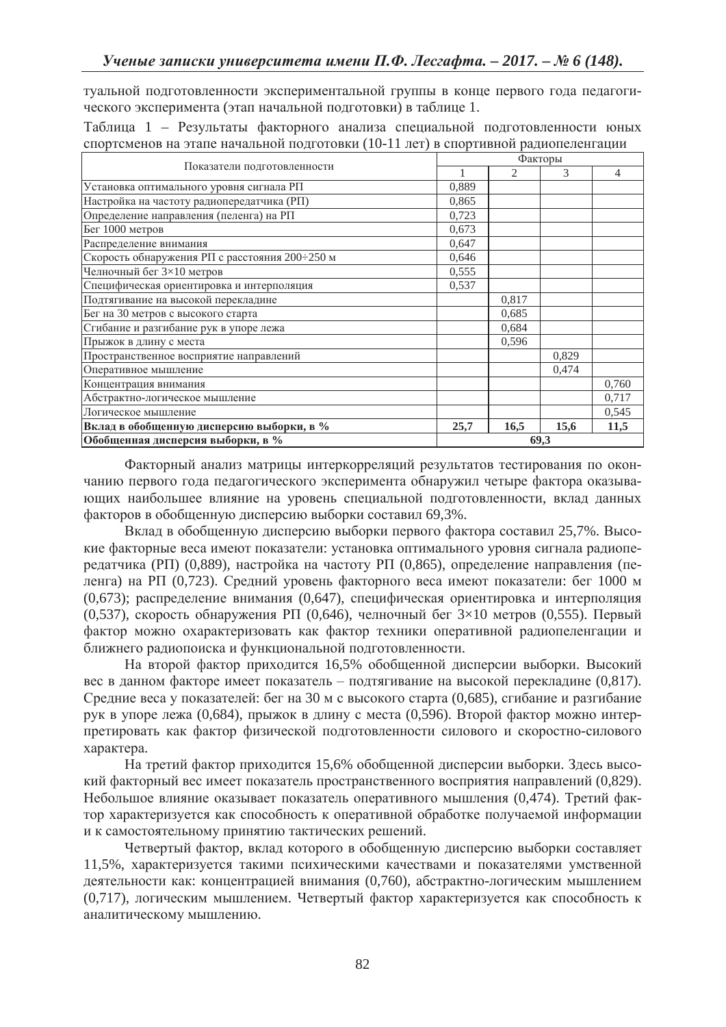туальной подготовленности экспериментальной группы в конце первого года педагогического эксперимента (этап начальной подготовки) в таблице 1.

Таблица 1 – Результаты факторного анализа специальной подготовленности юных спортсменов на этапе начальной подготовки (10-11 лет) в спортивной радиопеленгации

| Показатели подготовленности                    | Факторы |       |       |       |  |  |
|------------------------------------------------|---------|-------|-------|-------|--|--|
|                                                |         | 2     | 3     | 4     |  |  |
| Установка оптимального уровня сигнала РП       | 0.889   |       |       |       |  |  |
| Настройка на частоту радиопередатчика (РП)     | 0,865   |       |       |       |  |  |
| Определение направления (пеленга) на РП        | 0.723   |       |       |       |  |  |
| Бег 1000 метров                                | 0,673   |       |       |       |  |  |
| Распределение внимания                         | 0,647   |       |       |       |  |  |
| Скорость обнаружения РП с расстояния 200÷250 м | 0,646   |       |       |       |  |  |
| Челночный бег 3×10 метров                      | 0,555   |       |       |       |  |  |
| Специфическая ориентировка и интерполяция      | 0,537   |       |       |       |  |  |
| Подтягивание на высокой перекладине            |         | 0.817 |       |       |  |  |
| Бег на 30 метров с высокого старта             |         | 0.685 |       |       |  |  |
| Сгибание и разгибание рук в упоре лежа         |         | 0,684 |       |       |  |  |
| Прыжок в длину с места                         |         | 0,596 |       |       |  |  |
| Пространственное восприятие направлений        |         |       | 0,829 |       |  |  |
| Оперативное мышление                           |         |       | 0,474 |       |  |  |
| Концентрация внимания                          |         |       |       | 0,760 |  |  |
| Абстрактно-логическое мышление                 |         |       |       | 0,717 |  |  |
| Логическое мышление                            |         |       |       | 0,545 |  |  |
| Вклад в обобщенную дисперсию выборки, в %      | 25,7    | 16,5  | 15,6  | 11,5  |  |  |
| Обобщенная дисперсия выборки, в %              |         | 69,3  |       |       |  |  |

Факторный анализ матрицы интеркорреляций результатов тестирования по окончанию первого года педагогического эксперимента обнаружил четыре фактора оказывающих наибольшее влияние на уровень специальной подготовленности, вклад данных факторов в обобщенную дисперсию выборки составил 69,3%.

Вклад в обобщенную дисперсию выборки первого фактора составил 25,7%. Высокие факторные веса имеют показатели: установка оптимального уровня сигнала радиопередатчика (РП) (0,889), настройка на частоту РП (0,865), определение направления (пеленга) на РП (0,723). Средний уровень факторного веса имеют показатели: бег 1000 м  $(0.673)$ ; распределение внимания  $(0.647)$ , специфическая ориентировка и интерполяция (0,537), скорость обнаружения РП (0,646), челночный бег  $3\times10$  метров (0,555). Первый фактор можно охарактеризовать как фактор техники оперативной радиопеленгации и ближнего радиопоиска и функциональной подготовленности.

На второй фактор приходится 16,5% обобщенной дисперсии выборки. Высокий вес в данном факторе имеет показатель - подтягивание на высокой перекладине (0,817). Средние веса у показателей: бег на 30 м с высокого старта (0,685), сгибание и разгибание рук в упоре лежа (0,684), прыжок в длину с места (0,596). Второй фактор можно интерпретировать как фактор физической подготовленности силового и скоростно-силового xapakrepa.

На третий фактор приходится 15,6% обобщенной дисперсии выборки. Здесь высокий факторный вес имеет показатель пространственного восприятия направлений  $(0.829)$ . Небольшое влияние оказывает показатель оперативного мышления (0,474). Третий фактор характеризуется как способность к оперативной обработке получаемой информации и к самостоятельному принятию тактических решений.

Четвертый фактор, вклад которого в обобщенную дисперсию выборки составляет 11,5%, характеризуется такими психическими качествами и показателями умственной деятельности как: концентрацией внимания (0,760), абстрактно-логическим мышлением (0,717), логическим мышлением. Четвертый фактор характеризуется как способность к аналитическому мышлению.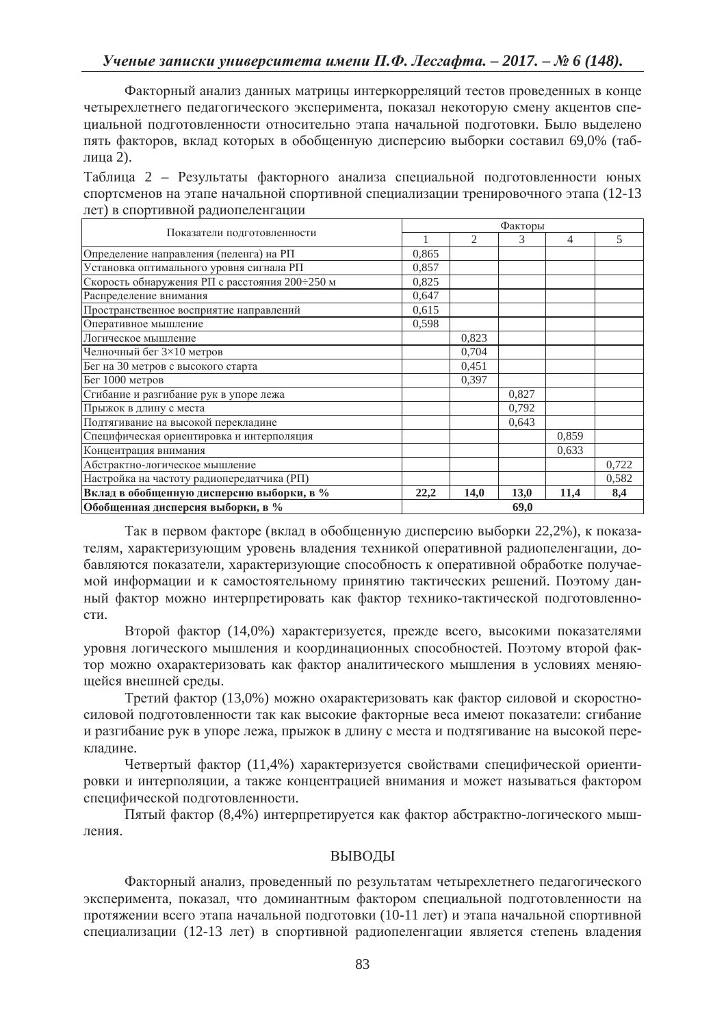Факторный анализ данных матрицы интеркорреляций тестов проведенных в конце четырехлетнего педагогического эксперимента, показал некоторую смену акцентов специальной подготовленности относительно этапа начальной подготовки. Было выделено пять факторов, вклад которых в обобщенную дисперсию выборки составил 69,0% (таблина 2).

Таблица 2 – Результаты факторного анализа специальной подготовленности юных спортсменов на этапе начальной спортивной специализации тренировочного этапа (12-13 лет) в спортивной радиопеленгации

| Показатели подготовленности                    |       | Факторы |       |       |       |  |  |
|------------------------------------------------|-------|---------|-------|-------|-------|--|--|
|                                                |       | 2       | 3     | 4     | 5     |  |  |
| Определение направления (пеленга) на РП        | 0,865 |         |       |       |       |  |  |
| Установка оптимального уровня сигнала РП       | 0,857 |         |       |       |       |  |  |
| Скорость обнаружения РП с расстояния 200÷250 м | 0,825 |         |       |       |       |  |  |
| Распределение внимания                         | 0,647 |         |       |       |       |  |  |
| Пространственное восприятие направлений        | 0,615 |         |       |       |       |  |  |
| Оперативное мышление                           | 0,598 |         |       |       |       |  |  |
| Логическое мышление                            |       | 0,823   |       |       |       |  |  |
| Челночный бег 3×10 метров                      |       | 0,704   |       |       |       |  |  |
| Бег на 30 метров с высокого старта             |       | 0,451   |       |       |       |  |  |
| Бег 1000 метров                                |       | 0,397   |       |       |       |  |  |
| Сгибание и разгибание рук в упоре лежа         |       |         | 0,827 |       |       |  |  |
| Прыжок в длину с места                         |       |         | 0,792 |       |       |  |  |
| Подтягивание на высокой перекладине            |       |         | 0.643 |       |       |  |  |
| Специфическая ориентировка и интерполяция      |       |         |       | 0,859 |       |  |  |
| Концентрация внимания                          |       |         |       | 0,633 |       |  |  |
| Абстрактно-логическое мышление                 |       |         |       |       | 0,722 |  |  |
| Настройка на частоту радиопередатчика (РП)     |       |         |       |       | 0,582 |  |  |
| Вклад в обобщенную дисперсию выборки, в %      | 22,2  | 14,0    | 13,0  | 11,4  | 8,4   |  |  |
| Обобщенная дисперсия выборки, в %              | 69,0  |         |       |       |       |  |  |

Так в первом факторе (вклад в обобщенную дисперсию выборки 22,2%), к показателям, характеризующим уровень владения техникой оперативной радиопеленгации, добавляются показатели, характеризующие способность к оперативной обработке получаемой информации и к самостоятельному принятию тактических решений. Поэтому данный фактор можно интерпретировать как фактор технико-тактической подготовленности.

Второй фактор (14,0%) характеризуется, прежде всего, высокими показателями уровня логического мышления и координационных способностей. Поэтому второй фактор можно охарактеризовать как фактор аналитического мышления в условиях меняющейся внешней среды.

Третий фактор (13,0%) можно охарактеризовать как фактор силовой и скоростносиловой полготовленности так как высокие факторные веса имеют показатели: сгибание и разгибание рук в упоре лежа, прыжок в длину с места и подтягивание на высокой перекладине.

Четвертый фактор (11,4%) характеризуется свойствами специфической ориентировки и интерполяции, а также концентрацией внимания и может называться фактором специфической подготовленности.

Пятый фактор (8,4%) интерпретируется как фактор абстрактно-логического мышления.

# ВЫВОДЫ

Факторный анализ, проведенный по результатам четырехлетнего педагогического эксперимента, показал, что доминантным фактором специальной подготовленности на протяжении всего этапа начальной подготовки (10-11 лет) и этапа начальной спортивной специализации (12-13 лет) в спортивной радиопеленгации является степень владения